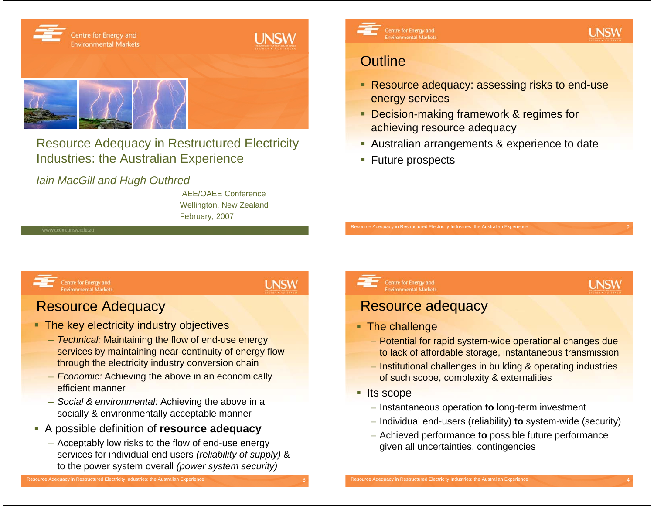

Resource Adequacy in Restructured Electricity Industries: the Australian Experience

*Iain MacGill and Hugh Outhred*

IAEE/OAEE ConferenceWellington, New Zealand February, 2007



Centre for Energy and **Environmental Markets**  **UNSW** 

# **Outline**

- Resource adequacy: assessing risks to end-use energy services
- Decision-making framework & regimes for achieving resource adequacy
- **Australian arrangements & experience to date**
- **Future prospects**

### Centre for Energy and **Environmental Markets**

**UNSW** 

## Resource Adequacy

- The key electricity industry objectives
	- *Technical:* Maintaining the flow of end-use energy services by maintaining near-continuity of energy flow through the electricity industry conversion chain
	- *Economic:* Achieving the above in an economically efficient manner
	- *Social & environmental:* Achieving the above in a socially & environmentally acceptable manner
- A possible definition of **resource adequacy**
	- Acceptably low risks to the flow of end-use energy services for individual end users *(reliability of supply)* & to the power system overall *(power system security)*

### Centre for Energy and **Environmental Markets**

## **UNSW**

## Resource adequacy

Resource Adequacy in Restructured Electricity Industries: the Australian Experience

### ■ The challenge

- Potential for rapid system-wide operational changes due to lack of affordable storage, instantaneous transmission
- Institutional challenges in building & operating industries of such scope, complexity & externalities
- **Its scope** 
	- Instantaneous operation **to** long-term investment
	- Individual end-users (reliability) **to** system-wide (security)
	- Achieved performance **to** possible future performance given all uncertainties, contingencies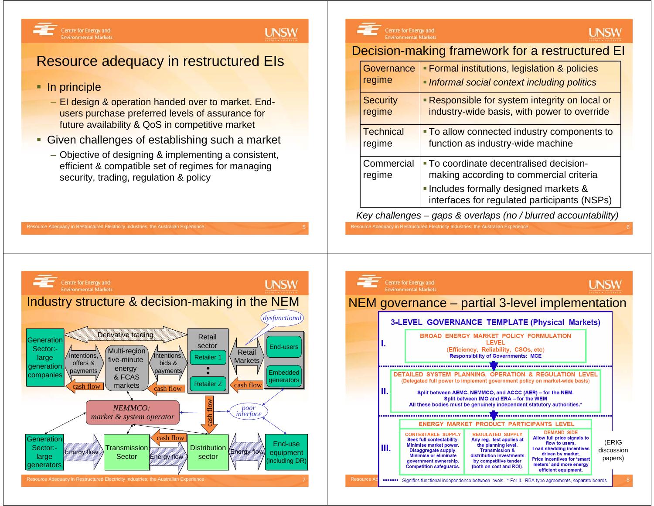## **UNSW**

# Resource adequacy in restructured EIs

■ In principle

Centre for Energy and

**Environmental Markets** 

- EI design & operation handed over to market. Endusers purchase preferred levels of assurance for future availability & QoS in competitive market
- **Given challenges of establishing such a market**

Resource Adequacy in Restructured Electricity Industries: the Australian Experience

– Objective of designing & implementing a consistent, efficient & compatible set of regimes for managing security, trading, regulation & policy



## Decision-making framework for a restructured EI

|  | Governance<br>regime       | <b>Formal institutions, legislation &amp; policies</b><br>Informal social context including politics |  |  |
|--|----------------------------|------------------------------------------------------------------------------------------------------|--|--|
|  | <b>Security</b><br>regime  | - Responsible for system integrity on local or<br>industry-wide basis, with power to override        |  |  |
|  | <b>Technical</b><br>regime | • To allow connected industry components to<br>function as industry-wide machine                     |  |  |
|  | Commercial<br>regime       | - To coordinate decentralised decision-<br>making according to commercial criteria                   |  |  |
|  |                            | · Includes formally designed markets &<br>interfaces for regulated participants (NSPs)               |  |  |

*Key challenges – gaps & overlaps (no / blurred accountability)*

Resource Adequacy in Restructured Electricity Industries: the Australian Experience



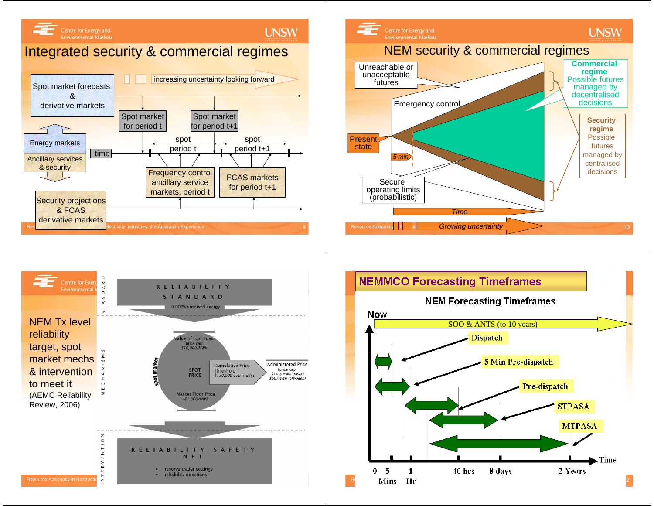





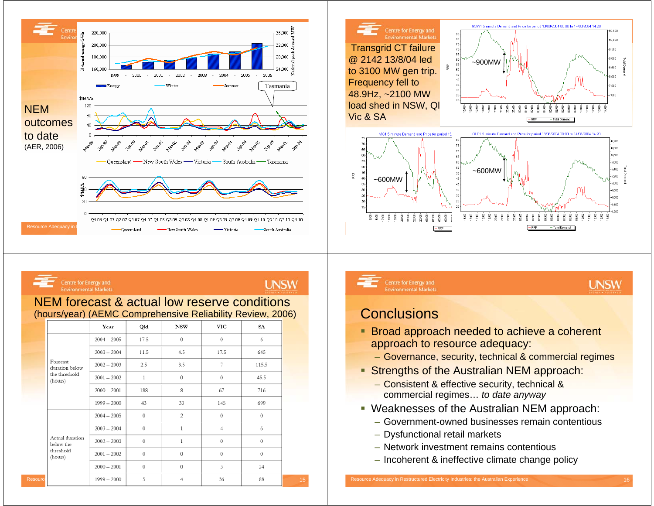





## **UNSW**

### NEM forecast & actual low reserve conditions (hours/year) (AEMC Comprehensive Reliability Review, 2006)

|                              | Year          | Qld          | <b>NSW</b>     | VIC            | SA          |
|------------------------------|---------------|--------------|----------------|----------------|-------------|
|                              | $2004 - 2005$ | 17.5         | $\theta$       | $\circ$        | 6           |
|                              | $2003 - 2004$ | 11.5         | 4.5            | 17.5           | 645         |
| Forecast<br>duration below   | $2002 - 2003$ | 2.5          | 3.5            | 7              | 115.5       |
| the threshold<br>(hours)     | $2001 - 2002$ | $\mathbf{1}$ | $\theta$       | $\theta$       | 45.5        |
|                              | $2000 - 2001$ | 188          | 8              | 67             | 716         |
|                              | $1999 - 2000$ | 43           | 33             | 145            | 699         |
|                              | $2004 - 2005$ | $\circ$      | $\overline{c}$ | $\theta$       | $\theta$    |
|                              | $2003 - 2004$ | $\mathbf{0}$ | 1              | $\overline{4}$ | 6           |
| Actual duration<br>below the | $2002 - 2003$ | $\mathbf 0$  | 1              | $\circ$        | $\Omega$    |
| threshold<br>(hours)         | $2001 - 2002$ | $\circ$      | $\theta$       | $\circ$        | $\theta$    |
|                              | $2000 - 2001$ | $\mathbf{0}$ | $\theta$       | 3              | 24          |
| Resourci                     | $1999 - 2000$ | 5            | 4              | 36             | $^{\rm 88}$ |

Centre for Energy and **Environmental Markets**  **UNSW** 

## **Conclusions**

- **Broad approach needed to achieve a coherent** approach to resource adequacy:
	- Governance, security, technical & commercial regimes
- **Strengths of the Australian NEM approach:** 
	- Consistent & effective security, technical & commercial regimes… *to date anyway*
- Weaknesses of the Australian NEM approach:
	- Government-owned businesses remain contentious
	- Dysfunctional retail markets
	- Network investment remains contentious
	- Incoherent & ineffective climate change policy